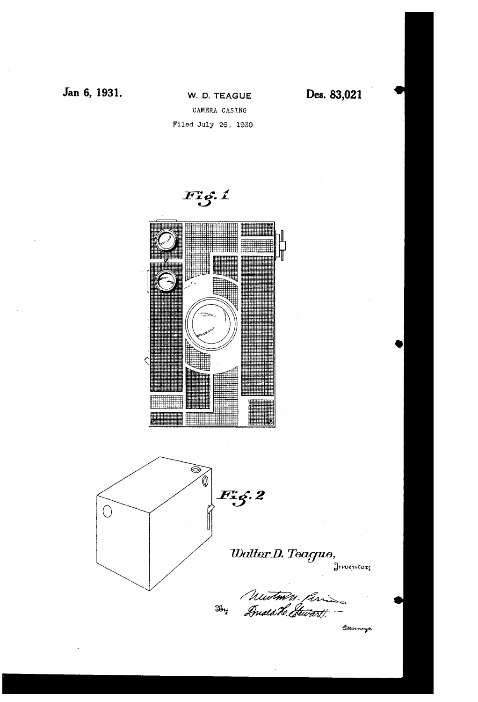



Hy

ditorneys.